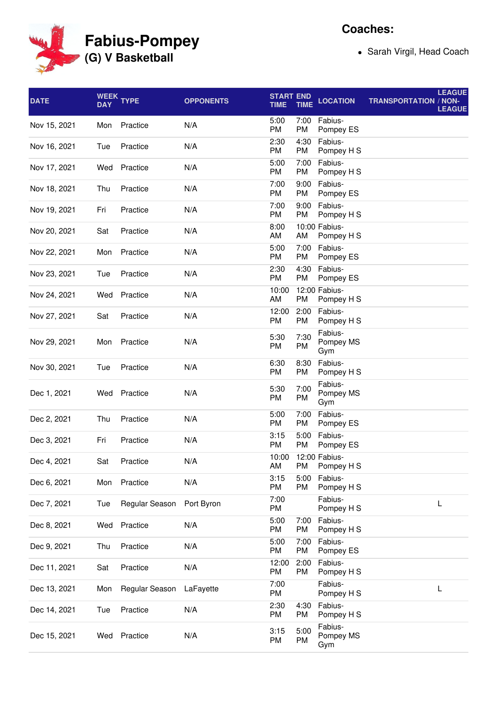**Fabius-Pompey (G) V Basketball**

Sarah Virgil, Head Coach

| <b>DATE</b>  | <b>DAY</b> | WEEK TYPE      | <b>OPPONENTS</b> | <b>START END</b><br><b>TIME</b> | <b>TIME</b> | <b>LOCATION</b>             | <b>LEAGUE</b><br><b>TRANSPORTATION / NON-</b><br><b>LEAGUE</b> |
|--------------|------------|----------------|------------------|---------------------------------|-------------|-----------------------------|----------------------------------------------------------------|
| Nov 15, 2021 | Mon        | Practice       | N/A              | 5:00<br>PM                      | 7:00<br>PM  | Fabius-<br>Pompey ES        |                                                                |
| Nov 16, 2021 | Tue        | Practice       | N/A              | 2:30<br>PM                      | 4:30<br>PM  | Fabius-<br>Pompey H S       |                                                                |
| Nov 17, 2021 | Wed        | Practice       | N/A              | 5:00<br>PM                      | 7:00<br>PM  | Fabius-<br>Pompey H S       |                                                                |
| Nov 18, 2021 | Thu        | Practice       | N/A              | 7:00<br>PM                      | 9:00<br>PM  | Fabius-<br>Pompey ES        |                                                                |
| Nov 19, 2021 | Fri        | Practice       | N/A              | 7:00<br>PM                      | 9:00<br>PM  | Fabius-<br>Pompey H S       |                                                                |
| Nov 20, 2021 | Sat        | Practice       | N/A              | 8:00<br>AM                      | AM          | 10:00 Fabius-<br>Pompey H S |                                                                |
| Nov 22, 2021 | Mon        | Practice       | N/A              | 5:00<br>PM                      | 7:00<br>РM  | Fabius-<br>Pompey ES        |                                                                |
| Nov 23, 2021 | Tue        | Practice       | N/A              | 2:30<br>PM                      | 4:30<br>PM  | Fabius-<br>Pompey ES        |                                                                |
| Nov 24, 2021 | Wed        | Practice       | N/A              | 10:00<br>AM                     | PM          | 12:00 Fabius-<br>Pompey H S |                                                                |
| Nov 27, 2021 | Sat        | Practice       | N/A              | 12:00<br>PM                     | 2:00<br>PM  | Fabius-<br>Pompey H S       |                                                                |
| Nov 29, 2021 | Mon        | Practice       | N/A              | 5:30<br>PM                      | 7:30<br>PM  | Fabius-<br>Pompey MS<br>Gym |                                                                |
| Nov 30, 2021 | Tue        | Practice       | N/A              | 6:30<br>PM                      | 8:30<br>PM  | Fabius-<br>Pompey H S       |                                                                |
| Dec 1, 2021  | Wed        | Practice       | N/A              | 5:30<br>PM                      | 7:00<br>PM  | Fabius-<br>Pompey MS<br>Gym |                                                                |
| Dec 2, 2021  | Thu        | Practice       | N/A              | 5:00<br>PM                      | 7:00<br>PM  | Fabius-<br>Pompey ES        |                                                                |
| Dec 3, 2021  | Fri        | Practice       | N/A              | 3:15<br>PM                      | 5:00<br>PM  | Fabius-<br>Pompey ES        |                                                                |
| Dec 4, 2021  | Sat        | Practice       | N/A              | 10:00<br>AM                     | PM          | 12:00 Fabius-<br>Pompey H S |                                                                |
| Dec 6, 2021  | Mon        | Practice       | N/A              | 3:15<br>PM                      | 5:00<br>PM  | Fabius-<br>Pompey H S       |                                                                |
| Dec 7, 2021  | Tue        | Regular Season | Port Byron       | 7:00<br>PM                      |             | Fabius-<br>Pompey H S       | L                                                              |
| Dec 8, 2021  | Wed        | Practice       | N/A              | 5:00<br>PM                      | 7:00<br>PM  | Fabius-<br>Pompey H S       |                                                                |
| Dec 9, 2021  | Thu        | Practice       | N/A              | 5:00<br>PM                      | 7:00<br>PM  | Fabius-<br>Pompey ES        |                                                                |
| Dec 11, 2021 | Sat        | Practice       | N/A              | 12:00<br>PM                     | 2:00<br>PM  | Fabius-<br>Pompey H S       |                                                                |
| Dec 13, 2021 | Mon        | Regular Season | LaFayette        | 7:00<br>PM                      |             | Fabius-<br>Pompey H S       | L                                                              |
| Dec 14, 2021 | Tue        | Practice       | N/A              | 2:30<br>PM                      | 4:30<br>PM  | Fabius-<br>Pompey H S       |                                                                |
| Dec 15, 2021 | Wed        | Practice       | N/A              | 3:15<br>PM                      | 5:00<br>PM  | Fabius-<br>Pompey MS<br>Gym |                                                                |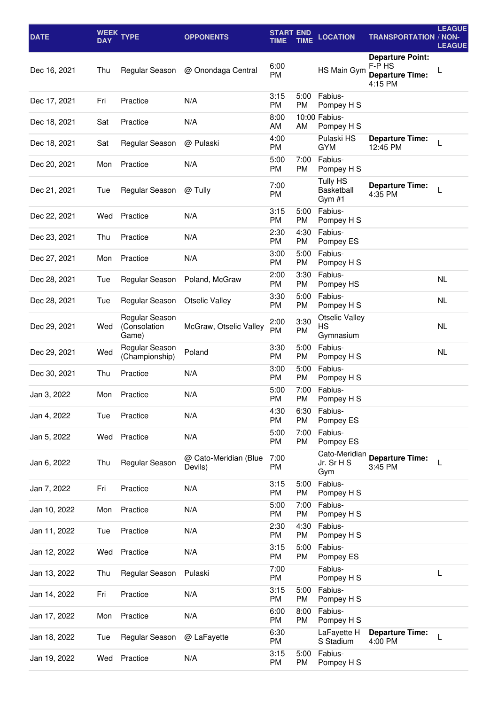| <b>DATE</b>  | <b>DAY</b> | WEEK TYPE                               | <b>OPPONENTS</b>                 | <b>START END</b><br><b>TIME</b> | TIME              | <b>LOCATION</b>                                | <b>TRANSPORTATION / NON-</b>                                           | <b>LEAGUE</b><br><b>LEAGUE</b> |
|--------------|------------|-----------------------------------------|----------------------------------|---------------------------------|-------------------|------------------------------------------------|------------------------------------------------------------------------|--------------------------------|
| Dec 16, 2021 | Thu        | Regular Season                          | @ Onondaga Central               | 6:00<br>PM                      |                   | HS Main Gym                                    | <b>Departure Point:</b><br>F-P HS<br><b>Departure Time:</b><br>4:15 PM |                                |
| Dec 17, 2021 | Fri        | Practice                                | N/A                              | 3:15<br>PM                      | 5:00<br>PM        | Fabius-<br>Pompey H S                          |                                                                        |                                |
| Dec 18, 2021 | Sat        | Practice                                | N/A                              | 8:00<br>AM                      | AM                | 10:00 Fabius-<br>Pompey H S                    |                                                                        |                                |
| Dec 18, 2021 | Sat        | Regular Season                          | @ Pulaski                        | 4:00<br>PM                      |                   | Pulaski HS<br>GYM                              | <b>Departure Time:</b><br>12:45 PM                                     | L                              |
| Dec 20, 2021 | Mon        | Practice                                | N/A                              | 5:00<br>PM                      | 7:00<br>PM        | Fabius-<br>Pompey H S                          |                                                                        |                                |
| Dec 21, 2021 | Tue        | Regular Season                          | @ Tully                          | 7:00<br>PM                      |                   | <b>Tully HS</b><br><b>Basketball</b><br>Gym #1 | <b>Departure Time:</b><br>4:35 PM                                      | L                              |
| Dec 22, 2021 | Wed        | Practice                                | N/A                              | 3:15<br>PM                      | 5:00<br>PM        | Fabius-<br>Pompey H S                          |                                                                        |                                |
| Dec 23, 2021 | Thu        | Practice                                | N/A                              | 2:30<br>PM                      | 4:30<br>PM        | Fabius-<br>Pompey ES                           |                                                                        |                                |
| Dec 27, 2021 | Mon        | Practice                                | N/A                              | 3:00<br>PM                      | 5:00<br>PM        | Fabius-<br>Pompey H S                          |                                                                        |                                |
| Dec 28, 2021 | Tue        | Regular Season                          | Poland, McGraw                   | 2:00<br>PM                      | 3:30<br>PM        | Fabius-<br>Pompey HS                           |                                                                        | NL.                            |
| Dec 28, 2021 | Tue        | Regular Season                          | <b>Otselic Valley</b>            | 3:30<br>PM                      | 5:00<br>PM        | Fabius-<br>Pompey H S                          |                                                                        | <b>NL</b>                      |
| Dec 29, 2021 | Wed        | Regular Season<br>(Consolation<br>Game) | McGraw, Otselic Valley           | 2:00<br>PM                      | 3:30<br>PM        | <b>Otselic Valley</b><br>НS<br>Gymnasium       |                                                                        | <b>NL</b>                      |
| Dec 29, 2021 | Wed        | Regular Season<br>(Championship)        | Poland                           | 3:30<br>PM                      | 5:00<br><b>PM</b> | Fabius-<br>Pompey H S                          |                                                                        | <b>NL</b>                      |
| Dec 30, 2021 | Thu        | Practice                                | N/A                              | 3:00<br>PM                      | 5:00<br>PM        | Fabius-<br>Pompey H S                          |                                                                        |                                |
| Jan 3, 2022  | Mon        | Practice                                | N/A                              | 5:00<br>PM                      | 7:00<br>PM        | Fabius-<br>Pompey H S                          |                                                                        |                                |
| Jan 4, 2022  | Tue        | Practice                                | N/A                              | 4:30<br>PM                      | 6:30<br>PM        | Fabius-<br>Pompey ES                           |                                                                        |                                |
| Jan 5, 2022  | Wed        | Practice                                | N/A                              | 5:00<br>PM                      | 7:00<br>PM        | Fabius-<br>Pompey ES                           |                                                                        |                                |
| Jan 6, 2022  | Thu        | Regular Season                          | @ Cato-Meridian (Blue<br>Devils) | 7:00<br>PM                      |                   | Cato-Meridian<br>Jr. Sr H S<br>Gym             | <b>Departure Time:</b><br>3:45 PM                                      | L                              |
| Jan 7, 2022  | Fri        | Practice                                | N/A                              | 3:15<br>PM                      | 5:00<br>PM        | Fabius-<br>Pompey H S                          |                                                                        |                                |
| Jan 10, 2022 | Mon        | Practice                                | N/A                              | 5:00<br>PM                      | 7:00<br><b>PM</b> | Fabius-<br>Pompey H S                          |                                                                        |                                |
| Jan 11, 2022 | Tue        | Practice                                | N/A                              | 2:30<br>PM                      | 4:30<br>PM        | Fabius-<br>Pompey H S                          |                                                                        |                                |
| Jan 12, 2022 | Wed        | Practice                                | N/A                              | 3:15<br>PM                      | 5:00<br>PM        | Fabius-<br>Pompey ES                           |                                                                        |                                |
| Jan 13, 2022 | Thu        | Regular Season                          | Pulaski                          | 7:00<br>PM                      |                   | Fabius-<br>Pompey H S                          |                                                                        | L                              |
| Jan 14, 2022 | Fri        | Practice                                | N/A                              | 3:15<br>PM                      | 5:00<br>PM        | Fabius-<br>Pompey H S                          |                                                                        |                                |
| Jan 17, 2022 | Mon        | Practice                                | N/A                              | 6:00<br>PM                      | 8:00<br>PM        | Fabius-<br>Pompey H S                          |                                                                        |                                |
| Jan 18, 2022 | Tue        | Regular Season                          | @ LaFayette                      | 6:30<br>PM                      |                   | LaFayette H<br>S Stadium                       | <b>Departure Time:</b><br>4:00 PM                                      | L                              |
| Jan 19, 2022 | Wed        | Practice                                | N/A                              | 3:15<br>PM                      | 5:00<br>PM        | Fabius-<br>Pompey H S                          |                                                                        |                                |